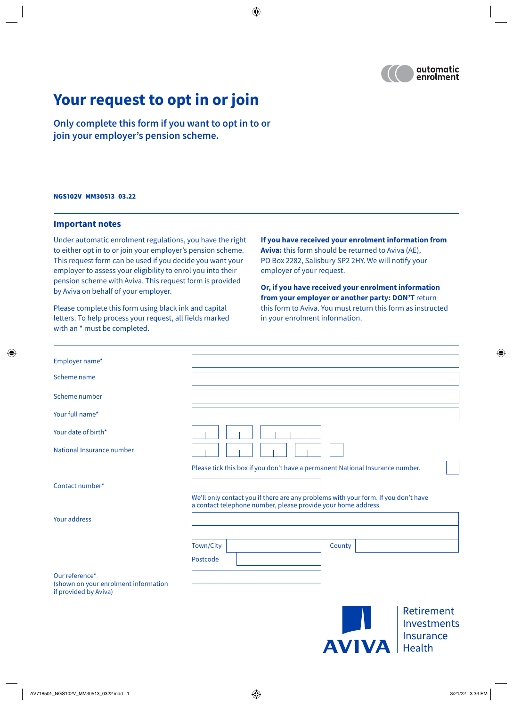

# **Your request to opt in or join**

**Only complete this form if you want to opt in to or join your employer's pension scheme.**

#### NGS102V MM30513 03.22

#### **Important notes**

Under automatic enrolment regulations, you have the right to either opt in to or join your employer's pension scheme. This request form can be used if you decide you want your employer to assess your eligibility to enrol you into their pension scheme with Aviva. This request form is provided by Aviva on behalf of your employer.

Please complete this form using black ink and capital letters. To help process your request, all fields marked with an \* must be completed.

**If you have received your enrolment information from Aviva:** this form should be returned to Aviva (AE), PO Box 2282, Salisbury SP2 2HY. We will notify your employer of your request.

**Or, if you have received your enrolment information from your employer or another party: DON'T** return this form to Aviva. You must return this form as instructed in your enrolment information.

| Employer name*                                                                  |                                                                                                                                                     |
|---------------------------------------------------------------------------------|-----------------------------------------------------------------------------------------------------------------------------------------------------|
| Scheme name                                                                     |                                                                                                                                                     |
| Scheme number                                                                   |                                                                                                                                                     |
| Your full name*                                                                 |                                                                                                                                                     |
| Your date of birth*                                                             |                                                                                                                                                     |
| National Insurance number                                                       |                                                                                                                                                     |
|                                                                                 | Please tick this box if you don't have a permanent National Insurance number.                                                                       |
| Contact number*                                                                 | We'll only contact you if there are any problems with your form. If you don't have<br>a contact telephone number, please provide your home address. |
| Your address                                                                    |                                                                                                                                                     |
|                                                                                 | Town/City<br>County<br>Postcode                                                                                                                     |
| Our reference*<br>(shown on your enrolment information<br>if provided by Aviva) |                                                                                                                                                     |